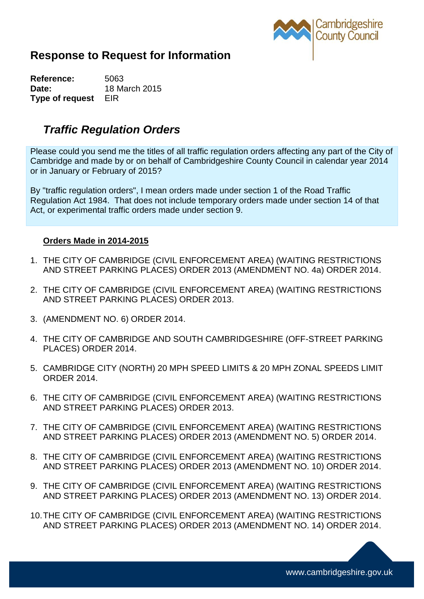

## **Response to Request for Information**

**Reference:** 5063 **Date:** 18 March 2015 **Type of request** EIR

## *Traffic Regulation Orders*

Please could you send me the titles of all traffic regulation orders affecting any part of the City of Cambridge and made by or on behalf of Cambridgeshire County Council in calendar year 2014 or in January or February of 2015?

By "traffic regulation orders", I mean orders made under section 1 of the Road Traffic Regulation Act 1984. That does not include temporary orders made under section 14 of that Act, or experimental traffic orders made under section 9.

## **Orders Made in 2014-2015**

- 1. THE CITY OF CAMBRIDGE (CIVIL ENFORCEMENT AREA) (WAITING RESTRICTIONS AND STREET PARKING PLACES) ORDER 2013 (AMENDMENT NO. 4a) ORDER 2014.
- 2. THE CITY OF CAMBRIDGE (CIVIL ENFORCEMENT AREA) (WAITING RESTRICTIONS AND STREET PARKING PLACES) ORDER 2013.
- 3. (AMENDMENT NO. 6) ORDER 2014.
- 4. THE CITY OF CAMBRIDGE AND SOUTH CAMBRIDGESHIRE (OFF-STREET PARKING PLACES) ORDER 2014.
- 5. CAMBRIDGE CITY (NORTH) 20 MPH SPEED LIMITS & 20 MPH ZONAL SPEEDS LIMIT ORDER 2014.
- 6. THE CITY OF CAMBRIDGE (CIVIL ENFORCEMENT AREA) (WAITING RESTRICTIONS AND STREET PARKING PLACES) ORDER 2013.
- 7. THE CITY OF CAMBRIDGE (CIVIL ENFORCEMENT AREA) (WAITING RESTRICTIONS AND STREET PARKING PLACES) ORDER 2013 (AMENDMENT NO. 5) ORDER 2014.
- 8. THE CITY OF CAMBRIDGE (CIVIL ENFORCEMENT AREA) (WAITING RESTRICTIONS AND STREET PARKING PLACES) ORDER 2013 (AMENDMENT NO. 10) ORDER 2014.
- 9. THE CITY OF CAMBRIDGE (CIVIL ENFORCEMENT AREA) (WAITING RESTRICTIONS AND STREET PARKING PLACES) ORDER 2013 (AMENDMENT NO. 13) ORDER 2014.
- 10.THE CITY OF CAMBRIDGE (CIVIL ENFORCEMENT AREA) (WAITING RESTRICTIONS AND STREET PARKING PLACES) ORDER 2013 (AMENDMENT NO. 14) ORDER 2014.

www.cambridgeshire.gov.uk